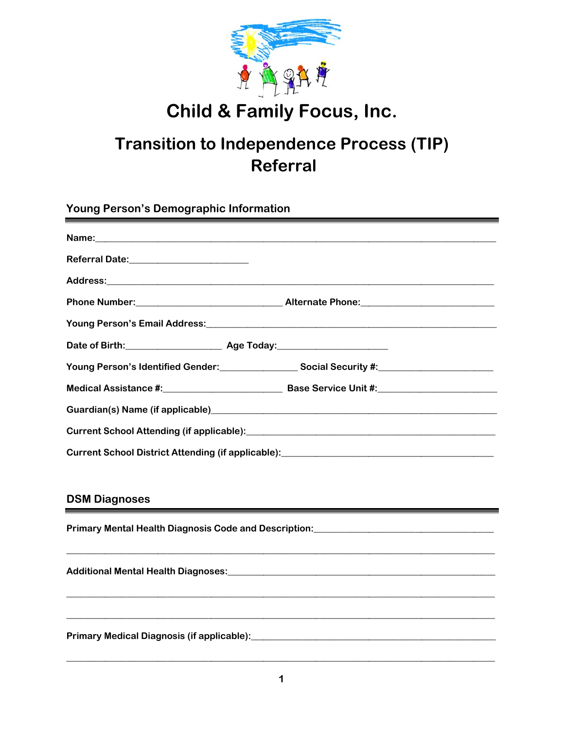

## **Child & Family Focus, Inc.**

## **Transition to Independence Process (TIP) Referral**

Young Person's Demographic Information

| Referral Date:_________________________ |                                                                                                                                                                                                                                  |
|-----------------------------------------|----------------------------------------------------------------------------------------------------------------------------------------------------------------------------------------------------------------------------------|
|                                         |                                                                                                                                                                                                                                  |
|                                         |                                                                                                                                                                                                                                  |
|                                         | Young Person's Email Address:<br>Sanda Contract Contract Contract Contract Contract Contract Contract Contract Contract Contract Contract Contract Contract Contract Contract Contract Contract Contract Contract Contract Contr |
|                                         |                                                                                                                                                                                                                                  |
|                                         | Young Person's Identified Gender: Social Security #: Netwitter Assembly Dental County At 2011                                                                                                                                    |
|                                         |                                                                                                                                                                                                                                  |
|                                         |                                                                                                                                                                                                                                  |
|                                         |                                                                                                                                                                                                                                  |
|                                         | Current School District Attending (if applicable): [2012] [2013] [2013] [2014] [2014] [2014] [2014] [2014] [20                                                                                                                   |
|                                         |                                                                                                                                                                                                                                  |
| <b>DSM Diagnoses</b>                    |                                                                                                                                                                                                                                  |
|                                         | Primary Mental Health Diagnosis Code and Description: [19] Drimary Mental Health Diagnosis Code and Description                                                                                                                  |
|                                         |                                                                                                                                                                                                                                  |
|                                         |                                                                                                                                                                                                                                  |
|                                         |                                                                                                                                                                                                                                  |
|                                         |                                                                                                                                                                                                                                  |
|                                         |                                                                                                                                                                                                                                  |
|                                         |                                                                                                                                                                                                                                  |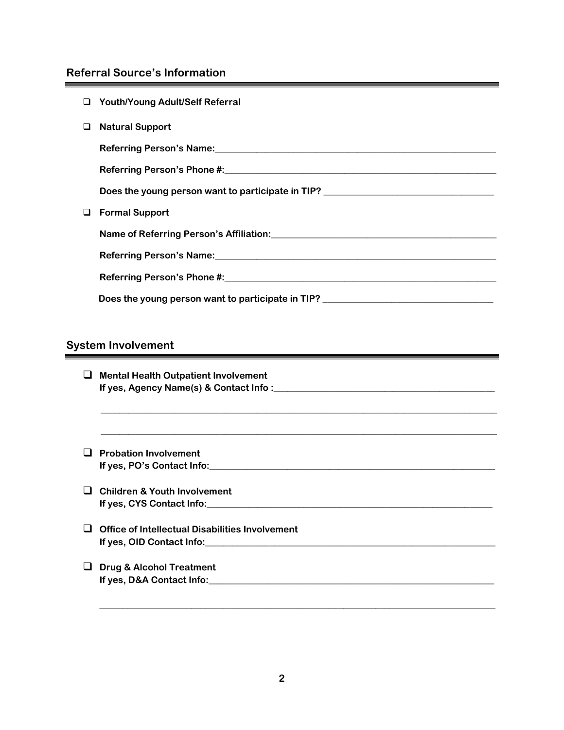## **Referral Source's Information**

|   | □ Youth/Young Adult/Self Referral                                                                                 |
|---|-------------------------------------------------------------------------------------------------------------------|
| ⊔ | <b>Natural Support</b>                                                                                            |
|   |                                                                                                                   |
|   |                                                                                                                   |
|   | Does the young person want to participate in TIP? ______________________________                                  |
| ⊔ | <b>Formal Support</b>                                                                                             |
|   | Name of Referring Person's Affiliation: University of American Service Control of Referring Person's Affiliation: |
|   |                                                                                                                   |
|   |                                                                                                                   |
|   | Does the young person want to participate in TIP?                                                                 |
|   |                                                                                                                   |

## **System Involvement**

|    | $\Box$ Mental Health Outpatient Involvement                                                                                                                                                                                   |
|----|-------------------------------------------------------------------------------------------------------------------------------------------------------------------------------------------------------------------------------|
|    |                                                                                                                                                                                                                               |
|    | $\Box$ Probation Involvement                                                                                                                                                                                                  |
|    |                                                                                                                                                                                                                               |
| O. | <b>Children &amp; Youth Involvement</b>                                                                                                                                                                                       |
|    |                                                                                                                                                                                                                               |
|    | Office of Intellectual Disabilities Involvement                                                                                                                                                                               |
|    |                                                                                                                                                                                                                               |
|    | $\Box$ Drug & Alcohol Treatment                                                                                                                                                                                               |
|    | If yes, D&A Contact Info: Manual Contract Information of the United States of the United States of the United States of the United States of the United States of the United States of the United States of the United States |

**\_\_\_\_\_\_\_\_\_\_\_\_\_\_\_\_\_\_\_\_\_\_\_\_\_\_\_\_\_\_\_\_\_\_\_\_\_\_\_\_\_\_\_\_\_\_\_\_\_\_\_\_\_\_\_\_\_\_\_\_\_\_\_\_\_\_\_\_\_\_\_\_\_\_\_\_\_\_\_\_\_\_\_\_\_\_**